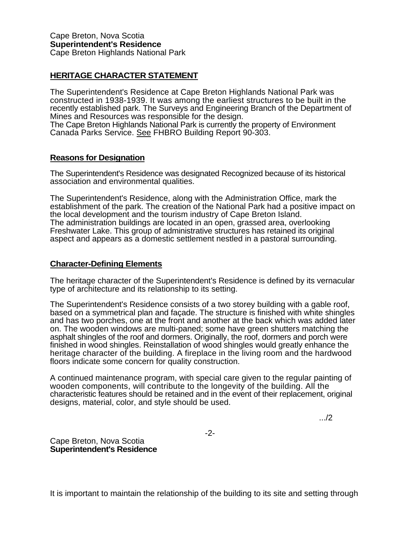## **HERITAGE CHARACTER STATEMENT**

The Superintendent's Residence at Cape Breton Highlands National Park was constructed in 1938-1939. It was among the earliest structures to be built in the recently established park. The Surveys and Engineering Branch of the Department of Mines and Resources was responsible for the design. The Cape Breton Highlands National Park is currently the property of Environment

Canada Parks Service. See FHBRO Building Report 90-303.

## **Reasons for Designation**

The Superintendent's Residence was designated Recognized because of its historical association and environmental qualities.

The Superintendent's Residence, along with the Administration Office, mark the establishment of the park. The creation of the National Park had a positive impact on the local development and the tourism industry of Cape Breton Island. The administration buildings are located in an open, grassed area, overlooking Freshwater Lake. This group of administrative structures has retained its original aspect and appears as a domestic settlement nestled in a pastoral surrounding.

## **Character-Defining Elements**

The heritage character of the Superintendent's Residence is defined by its vernacular type of architecture and its relationship to its setting.

The Superintendent's Residence consists of a two storey building with a gable roof, based on a symmetrical plan and façade. The structure is finished with white shingles and has two porches, one at the front and another at the back which was added later on. The wooden windows are multi-paned; some have green shutters matching the asphalt shingles of the roof and dormers. Originally, the roof, dormers and porch were finished in wood shingles. Reinstallation of wood shingles would greatly enhance the heritage character of the building. A fireplace in the living room and the hardwood floors indicate some concern for quality construction.

A continued maintenance program, with special care given to the regular painting of wooden components, will contribute to the longevity of the building. All the characteristic features should be retained and in the event of their replacement, original designs, material, color, and style should be used.

.../2

-2-

Cape Breton, Nova Scotia **Superintendent's Residence**